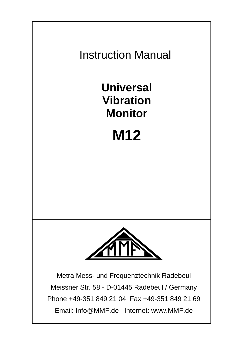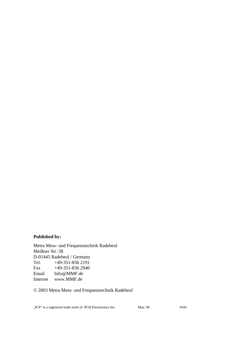#### **Published by:**

Metra Mess- und Frequenztechnik Radebeul Meißner Str. 58 D-01445 Radebeul / Germany<br>Tel. +49-351-836 2191  $+49-351-8362191$ Fax +49-351-836 2940 Email Info@MMF.de Internet www.MMF.de

© 2003 Metra Mess- und Frequenztechnik Radebeul

"ICP" is a registered trade mark of PCB Piezotronics Inc. May. 06 #181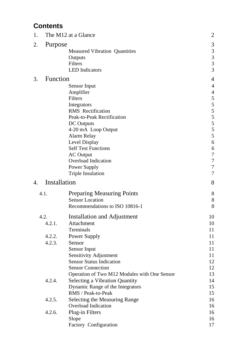## **Contents**

| 1. |                     | The M12 at a Glance                                                                 | $\overline{c}$        |  |  |
|----|---------------------|-------------------------------------------------------------------------------------|-----------------------|--|--|
| 2. | Purpose             | <b>Measured Vibration Quantities</b><br>Outputs<br>Filters<br><b>LED</b> Indicators | 3<br>3<br>3<br>3<br>3 |  |  |
| 3. | Function            |                                                                                     | 4                     |  |  |
|    |                     | Sensor Input                                                                        | $\overline{4}$        |  |  |
|    |                     | Amplifier                                                                           | 4                     |  |  |
|    |                     | Filters                                                                             | 5                     |  |  |
|    |                     | Integrators                                                                         | 5                     |  |  |
|    |                     | RMS Rectification                                                                   | 5<br>5                |  |  |
|    |                     | Peak-to-Peak Rectification<br><b>DC</b> Outputs                                     | 5                     |  |  |
|    |                     | 4-20 mA Loop Output                                                                 | 5                     |  |  |
|    |                     | Alarm Relay                                                                         | 5                     |  |  |
|    |                     | Level Display                                                                       | 6                     |  |  |
|    |                     | <b>Self Test Functions</b>                                                          | 6                     |  |  |
|    |                     | <b>AC</b> Output                                                                    | 7<br>7                |  |  |
|    | Overload Indication |                                                                                     |                       |  |  |
|    |                     | Power Supply                                                                        | 7                     |  |  |
|    |                     | Triple Insulation                                                                   | 7                     |  |  |
| 4. | Installation        |                                                                                     | 8                     |  |  |
|    | 4.1.                | <b>Preparing Measuring Points</b>                                                   | 8                     |  |  |
|    |                     | <b>Sensor Location</b>                                                              | 8                     |  |  |
|    |                     | Recommendations to ISO 10816-1                                                      | 8                     |  |  |
|    | 4.2.                | Installation and Adjustment                                                         | 10                    |  |  |
|    | 4.2.1.              | Attachment                                                                          | 10                    |  |  |
|    |                     | Terminals                                                                           | 11                    |  |  |
|    | 4.2.2.              | Power Supply                                                                        | 11                    |  |  |
|    | 4.2.3.              | Sensor                                                                              | 11                    |  |  |
|    |                     | Sensor Input                                                                        | 11                    |  |  |
|    |                     | Sensitivity Adjustment<br><b>Sensor Status Indication</b>                           | 11                    |  |  |
|    |                     | <b>Sensor Connection</b>                                                            | 12<br>12              |  |  |
|    |                     | Operation of Two M12 Modules with One Sensor                                        | 13                    |  |  |
|    | 4.2.4.              | Selecting a Vibration Quantity                                                      | 14                    |  |  |
|    |                     | Dynamic Range of the Integrators                                                    | 15                    |  |  |
|    |                     | RMS / Peak-to-Peak                                                                  | 15                    |  |  |
|    | 4.2.5.              | Selecting the Measuring Range                                                       | 16                    |  |  |
|    |                     | Overload Indication                                                                 | 16                    |  |  |
|    | 4.2.6.              | Plug-in Filters                                                                     | 16                    |  |  |
|    |                     | Slope                                                                               | 16                    |  |  |
|    |                     | Factory Configuration                                                               | 17                    |  |  |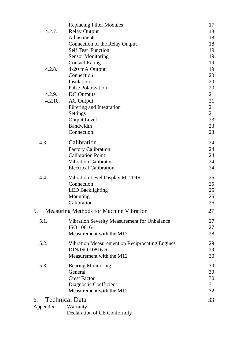|           | <b>Replacing Filter Modules</b>                             | 17 |
|-----------|-------------------------------------------------------------|----|
| 4.2.7.    | <b>Relay Output</b>                                         | 18 |
|           | Adjustments                                                 | 18 |
|           | Connection of the Relay Output                              | 18 |
|           | Self Test Function                                          | 19 |
|           | <b>Sensor Monitoring</b>                                    | 19 |
|           | <b>Contact Rating</b>                                       | 19 |
| 4.2.8.    | 4-20 mA Output                                              | 19 |
|           | Connection                                                  | 20 |
|           | Insulation                                                  | 20 |
|           | <b>False Polarization</b>                                   | 20 |
| 4.2.9.    | DC Outputs                                                  | 21 |
| 4.2.10.   | <b>AC</b> Output                                            | 21 |
|           | Filtering and Integration                                   | 21 |
|           | Settings                                                    | 21 |
|           | <b>Output Level</b>                                         | 23 |
|           | Bandwidth                                                   | 23 |
|           | Connection                                                  | 23 |
| 4.3.      | Calibration                                                 | 24 |
|           | <b>Factory Calibration</b>                                  | 24 |
|           | <b>Calibration Point</b>                                    | 24 |
|           | Vibration Calibrator                                        | 24 |
|           | <b>Electrical Calibration</b>                               | 24 |
| 4.4       | Vibration Level Display M12DIS                              | 25 |
|           | Connection                                                  | 25 |
|           | <b>LED Backlighting</b>                                     | 25 |
|           | Mounting                                                    | 25 |
|           | Calibration                                                 | 26 |
| 5.        | Measuring Methods for Machine Vibration                     | 27 |
| 5.1.      |                                                             | 27 |
|           | Vibration Severity Measurement for Unbalance<br>ISO 10816-1 | 27 |
|           | Measurement with the M12                                    | 28 |
|           |                                                             |    |
| 5.2.      | Vibration Measurement on Reciprocating Engines              | 29 |
|           | DIN/ISO 10816-6                                             | 29 |
|           | Measurement with the M12                                    | 30 |
| 5.3.      | <b>Bearing Monitoring</b>                                   | 30 |
|           | General                                                     | 30 |
|           | <b>Crest Factor</b>                                         | 30 |
|           | Diagnostic Coefficient                                      | 31 |
|           | Measurement with the M12                                    | 32 |
| б.        | <b>Technical Data</b>                                       | 33 |
| Appendix: | Warranty                                                    |    |
|           | Declaration of CE Conformity                                |    |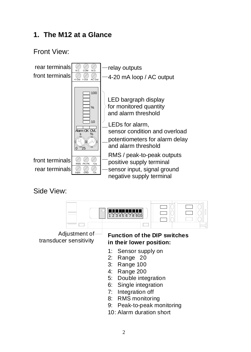## **1. The M12 at a Glance**

Front View:



Side View:



10: Alarm duration short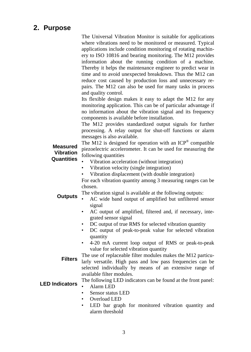## **2. Purpose**

The Universal Vibration Monitor is suitable for applications where vibrations need to be monitored or measured. Typical applications include condition monitoring of rotating machinery to ISO 10816 and bearing monitoring. The M12 provides information about the running condition of a machine. Thereby it helps the maintenance engineer to predict wear in time and to avoid unexpected breakdown. Thus the M12 can reduce cost caused by production loss and unnecessary repairs. The M12 can also be used for many tasks in process and quality control.

Its flexible design makes it easy to adapt the M12 for any monitoring application. This can be of particular advantage if no information about the vibration signal and its frequency components is available before installation.

The M12 provides standardized output signals for further processing. A relay output for shut-off functions or alarm messages is also available.

**Measured** The  $\overline{M12}$  is designed for operation with an ICP<sup>®</sup> compatible piezoelectric accelerometer. It can be used for measuring the following quantities

#### **Vibration Quantities**

- Vibration acceleration (without integration)
- Vibration velocity (single integration)
- Vibration displacement (with double integration)

For each vibration quantity among 3 measuring ranges can be chosen.

**Outputs** The vibration signal is available at the following outputs:

- AC wide band output of amplified but unfiltered sensor signal
	- AC output of amplified, filtered and, if necessary, integrated sensor signal
	- DC output of true RMS for selected vibration quantity
	- DC output of peak-to-peak value for selected vibration quantity
	- 4-20 mA current loop output of RMS or peak-to-peak value for selected vibration quantity
- **Filters** The use of replaceable filter modules makes the M12 particularly versatile. High pass and low pass frequencies can be selected individually by means of an extensive range of available filter modules.

## LED **Indicators** The following LED indicators can be found at the front panel:

- Alarm LED
- Sensor status LED
- Overload LED
- LED bar graph for monitored vibration quantity and alarm threshold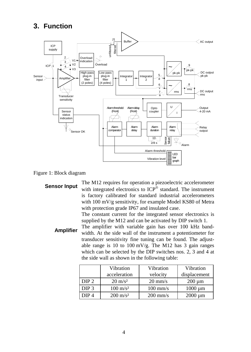## **3. Function**



#### Figure 1: Block diagram

**Sensor Input** The M12 requires for operation a piezoelectric accelerometer with integrated electronics to ICP® standard. The instrument is factory calibrated for standard industrial accelerometers with 100 mV/g sensitivity, for example Model KS80 of Metra with protection grade IP67 and insulated case. The constant current for the integrated sensor electronics is

supplied by the M12 and can be activated by DIP switch 1.

**Amplifier** The amplifier with variable gain has over 100 kHz bandwidth. At the side wall of the instrument a potentiometer for transducer sensitivity fine tuning can be found. The adjustable range is 10 to 100 mV/g. The M12 has 3 gain ranges which can be selected by the DIP switches nos. 2, 3 and 4 at the side wall as shown in the following table:

|                  | Vibration           | Vibration          | Vibration        |
|------------------|---------------------|--------------------|------------------|
|                  | acceleration        | velocity           | displacement     |
| DIP 2            | $20 \text{ m/s}^2$  | $20 \text{ mm/s}$  | $200 \text{ µm}$ |
| DIP <sub>3</sub> | $100 \text{ m/s}^2$ | $100$ mm/s         | $1000 \mu m$     |
| DIP <sub>4</sub> | $200 \text{ m/s}^2$ | $200 \text{ mm/s}$ | $2000 \mu m$     |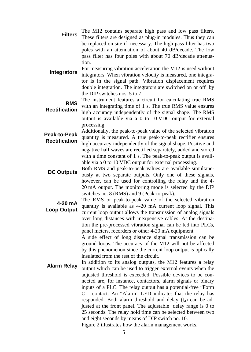- Filters The M12 contains separate high pass and low pass filters. These filters are designed as plug-in modules. Thus they can be replaced on site if necessary. The high pass filter has two poles with an attenuation of about 40 dB/decade. The low pass filter has four poles with about 70 dB/decade attenuation.
- **Integrators** For measuring vibration acceleration the M12 is used without integrators. When vibration velocity is measured, one integrator is in the signal path. Vibration displacement requires double integration. The integrators are switched on or off by the DIP switches nos. 5 to 7.

**RMS**  The instrument features a circuit for calculating true RMS

- **Rectification** with an integrating time of 1 s. The true RMS value ensures high accuracy independently of the signal shape. The RMS output is available via a 0 to 10 VDC output for external processing.
- **Peak-to-Peak Rectification**  Additionally, the peak-to-peak value of the selected vibration quantity is measured. A true peak-to-peak rectifier ensures high accuracy independently of the signal shape. Positive and negative half waves are rectified separately, added and stored with a time constant of 1 s. The peak-to-peak output is available via a 0 to 10 VDC output for external processing.
- **DC Outputs** Both RMS and peak-to-peak values are available simultaneously at two separate outputs. Only one of these signals, however, can be used for controlling the relay and the 4- 20 mA output. The monitoring mode is selected by the DIP switches no. 8 (RMS) and 9 (Peak-to-peak).

**4-20 mA Loop Output** The RMS or peak-to-peak value of the selected vibration quantity is available as 4-20 mA current loop signal. This current loop output allows the transmission of analog signals over long distances with inexpensive cables. At the destination the pre-processed vibration signal can be fed into PLCs, panel meters, recorders or other 4-20 mA equipment.

A side effect of long distance signal transmission can be ground loops. The accuracy of the M12 will not be affected by this phenomenon since the current loop output is optically insulated from the rest of the circuit.

**Alarm Relay** In addition to its analog outputs, the M12 features a relay output which can be used to trigger external events when the adjusted threshold is exceeded. Possible devices to be connected are, for instance, contactors, alarm signals or binary inputs of a PLC. The relay output has a potential-free "Form C" contact. An "Alarm" LED indicates that the relay has responded. Both alarm threshold and delay  $(t_d)$  can be adjusted at the front panel. The adjustable delay range is 0 to 25 seconds. The relay hold time can be selected between two and eight seconds by means of DIP switch no. 10.

Figure 2 illustrates how the alarm management works.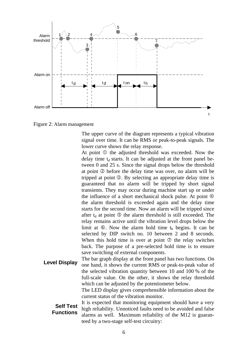

Figure 2: Alarm management

The upper curve of the diagram represents a typical vibration signal over time. It can be RMS or peak-to-peak signals. The lower curve shows the relay response.

At point  $\Phi$  the adjusted threshold was exceeded. Now the delay time  $t_d$  starts. It can be adjusted at the front panel between 0 and 25 s. Since the signal drops below the threshold at point  $\oslash$  before the delay time was over, no alarm will be tripped at point  $\circled{S}$ . By selecting an appropriate delay time is guaranteed that no alarm will be tripped by short signal transients. They may occur during machine start up or under the influence of a short mechanical shock pulse. At point  $\Phi$ the alarm threshold is exceeded again and the delay time starts for the second time. Now an alarm will be tripped since after  $t_d$  at point  $\circled{S}$  the alarm threshold is still exceeded. The relay remains active until the vibration level drops below the limit at  $\circled{6}$ . Now the alarm hold time t<sub>h</sub> begins. It can be selected by DIP switch no. 10 between 2 and 8 seconds. When this hold time is over at point  $\oslash$  the relay switches back. The purpose of a pre-selected hold time is to ensure save switching of external components.

**Level Display** The bar graph display at the front panel has two functions. On **Level Display** one hand, it shows the current RMS or peak-to-peak value of the selected vibration quantity between 10 and 100 % of the full-scale value. On the other, it shows the relay threshold which can be adjusted by the potentiometer below.

The LED display gives comprehensible information about the current status of the vibration monitor.

**Self Test Functions** It is expected that monitoring equipment should have a very high reliability. Unnoticed faults need to be avoided and false alarms as well. Maximum reliability of the M12 is guaranteed by a two-stage self-test circuitry: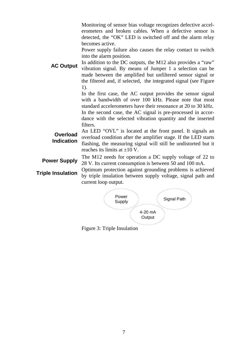Monitoring of sensor bias voltage recognizes defective accelerometers and broken cables. When a defective sensor is detected, the "OK" LED is switched off and the alarm relay becomes active.

Power supply failure also causes the relay contact to switch into the alarm position.

**AC Output** In addition to the DC outputs, the M12 also provides a "raw" vibration signal. By means of Jumper 1 a selection can be made between the amplified but unfiltered sensor signal or the filtered and, if selected, the integrated signal (see Figure 1).

> In the first case, the AC output provides the sensor signal with a bandwidth of over 100 kHz. Please note that most standard accelerometers have their resonance at 20 to 30 kHz. In the second case, the AC signal is pre-processed in accordance with the selected vibration quantity and the inserted filters.

**Overload Indication** An LED "OVL" is located at the front panel. It signals an overload condition after the amplifier stage. If the LED starts flashing, the measuring signal will still be undistorted but it reaches its limits at  $\pm 10$  V.

**Power Supply** The M12 needs for operation a DC supply voltage of 22 to<br>**Power Supply** 28 M Its suggest consumption is between 50 and 100 mA 28 V. Its current consumption is between 50 and 100 mA.

**Triple Insulation** Optimum protection against grounding problems is achieved<br>the problems in the insulation between small problems at each and problems<br>of the conduction of the conduction of the conduction of the conducti by triple insulation between supply voltage, signal path and current loop output.



Figure 3: Triple Insulation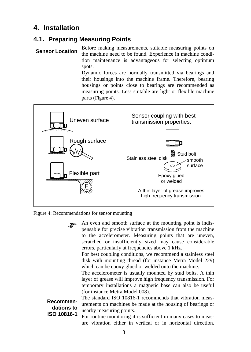## **4. Installation**

#### **4.1. Preparing Measuring Points**

**Sensor Location** Before making measurements, suitable measuring points on the machine need to be found. Experience in machine condition maintenance is advantageous for selecting optimum spots.

> Dynamic forces are normally transmitted via bearings and their housings into the machine frame. Therefore, bearing housings or points close to bearings are recommended as measuring points. Less suitable are light or flexible machine parts (Figure 4).



Figure 4: Recommendations for sensor mounting

) An even and smooth surface at the mounting point is indis-pensable for precise vibration transmission from the machine to the accelerometer. Measuring points that are uneven, scratched or insufficiently sized may cause considerable errors, particularly at frequencies above 1 kHz. For best coupling conditions, we recommend a stainless steel disk with mounting thread (for instance Metra Model 229) which can be epoxy glued or welded onto the machine. The accelerometer is usually mounted by stud bolts. A thin layer of grease will improve high frequency transmission. For temporary installations a magnetic base can also be useful (for instance Metra Model 008). **Recommendations to ISO 10816-1** The standard ISO 10816-1 recommends that vibration measurements on machines be made at the housing of bearings or nearby measuring points. For routine monitoring it is sufficient in many cases to measure vibration either in vertical or in horizontal direction.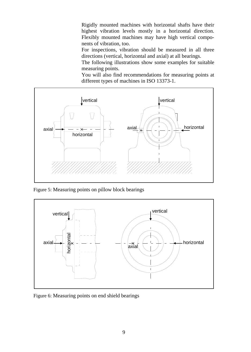Rigidly mounted machines with horizontal shafts have their highest vibration levels mostly in a horizontal direction. Flexibly mounted machines may have high vertical components of vibration, too.

For inspections, vibration should be measured in all three directions (vertical, horizontal and axial) at all bearings.

The following illustrations show some examples for suitable measuring points.

You will also find recommendations for measuring points at different types of machines in ISO 13373-1.



Figure 5: Measuring points on pillow block bearings



Figure 6: Measuring points on end shield bearings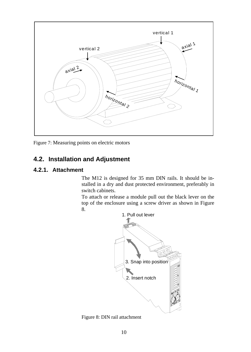

Figure 7: Measuring points on electric motors

#### **4.2. Installation and Adjustment**

#### **4.2.1. Attachment**

The M12 is designed for 35 mm DIN rails. It should be installed in a dry and dust protected environment, preferably in switch cabinets.

To attach or release a module pull out the black lever on the top of the enclosure using a screw driver as shown in Figure 8.



Figure 8: DIN rail attachment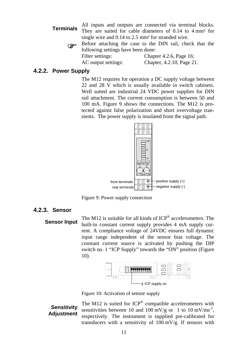**Terminals** All inputs and outputs are connected via terminal blocks. They are suited for cable diameters of 0.14 to 4 mm<sup>2</sup> for single wire and 0.14 to 2.5 mm<sup>2</sup> for stranded wire.

) Before attaching the case to the DIN rail, check that the following settings have been done: Filter settings: Chapter 4.2.6, Page 16:

AC output settings: Chapter, 4.2.10, Page 21.

#### **4.2.2. Power Supply**

The M12 requires for operation a DC supply voltage between 22 and 28 V which is usually available in switch cabinets. Well suited are industrial 24 VDC power supplies for DIN rail attachment. The current consumption is between 50 and 100 mA. Figure 9 shows the connections. The M12 is protected against false polarization and short overvoltage transients. The power supply is insulated from the signal path.



Figure 9: Power supply connection

#### **4.2.3. Sensor**

**Sensor Input** The M12 is suitable for all kinds of ICP<sup>®</sup> accelerometers. The Sensor Input by a sensitive and apply one built-in constant current supply provides 4 mA supply current. A compliance voltage of 24VDC ensures full dynamic input range independent of the sensor bias voltage. The constant current source is activated by pushing the DIP switch no. 1 "ICP Supply" towards the "ON" position (Figure 10).



Figure 10: Activation of sensor supply

**Sensitivity Adjustment**

The M12 is suited for  $ICP^{\otimes}$  compatible accelerometers with sensitivities between 10 and 100 mV/g or 1 to 10 mV/ms<sup>-2</sup>, respectively. The instrument is supplied pre-calibrated for transducers with a sensitivity of 100 mV/g. If sensors with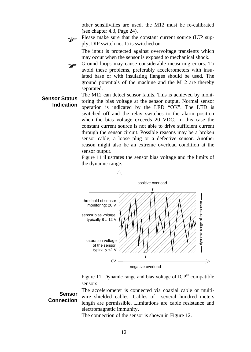other sensitivities are used, the M12 must be re-calibrated (see chapter 4.3, Page 24).

) Please make sure that the constant current source (ICP supply, DIP switch no. 1) is switched on.

The input is protected against overvoltage transients which may occur when the sensor is exposed to mechanical shock.

Ground loops may cause considerable measuring errors. To avoid these problems, preferably accelerometers with insulated base or with insulating flanges should be used. The ground potentials of the machine and the M12 are thereby separated.

#### **Sensor Status Indication**

The M12 can detect sensor faults. This is achieved by monitoring the bias voltage at the sensor output. Normal sensor operation is indicated by the LED "OK". The LED is switched off and the relay switches to the alarm position when the bias voltage exceeds 20 VDC. In this case the constant current source is not able to drive sufficient current through the sensor circuit. Possible reasons may be a broken sensor cable, a loose plug or a defective sensor. Another reason might also be an extreme overload condition at the sensor output.

Figure 11 illustrates the sensor bias voltage and the limits of the dynamic range.



Figure 11: Dynamic range and bias voltage of ICP® compatible sensors

#### **Sensor Connection**

The accelerometer is connected via coaxial cable or multiwire shielded cables. Cables of several hundred meters length are permissible. Limitations are cable resistance and electromagnetic immunity.

The connection of the sensor is shown in Figure 12.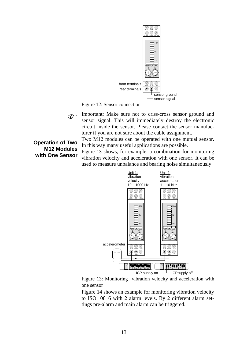

Figure 12: Sensor connection



) Important: Make sure not to criss-cross sensor ground and sensor signal. This will immediately destroy the electronic circuit inside the sensor. Please contact the sensor manufacturer if you are not sure about the cable assignment.

Two M12 modules can be operated with one mutual sensor. In this way many useful applications are possible.

Figure 13 shows, for example, a combination for monitoring vibration velocity and acceleration with one sensor. It can be used to measure unbalance and bearing noise simultaneously.



Figure 13: Monitoring vibration velocity and acceleration with one sensor

Figure 14 shows an example for monitoring vibration velocity to ISO 10816 with 2 alarm levels. By 2 different alarm settings pre-alarm and main alarm can be triggered.

#### **Operation of Two M12 Modules with One Sensor**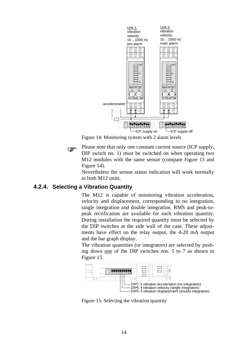

Figure 14: Monitoring system with 2 alarm levels

) Please note that only one constant current source (ICP supply, DIP switch no. 1) must be switched on when operating two M12 modules with the same sensor (compare Figure 13 and Figure 14).

Nevertheless the sensor status indication will work normally in both M12 units.

#### **4.2.4. Selecting a Vibration Quantity**

The M12 is capable of monitoring vibration acceleration, velocity and displacement, corresponding to no integration, single integration and double integration. RMS and peak-topeak rectification are available for each vibration quantity. During installation the required quantity must be selected by the DIP switches at the side wall of the case. These adjustments have effect on the relay output, the 4-20 mA output and the bar graph display.

The vibration quantities (or integrators) are selected by pushing down one of the DIP switches nos. 5 to 7 as shown in Figure 15.



Figure 15: Selecting the vibration quantity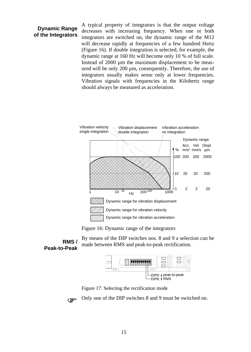#### **Dynamic Range of the Integrators**

**RMS /**

A typical property of integrators is that the output voltage decreases with increasing frequency. When one or both integrators are switched on, the dynamic range of the M12 will decrease rapidly at frequencies of a few hundred Hertz (Figure 16). If double integration is selected, for example, the dynamic range at 160 Hz will become only 10 % of full scale. Instead of 2000 µm the maximum displacement to be measured will be only 200 µm, consequently. Therefore, the use of integrators usually makes sense only at lower frequencies. Vibration signals with frequencies in the Kilohertz range should always be measured as acceleration.



Figure 16: Dynamic range of the integrators

**Peak-to-Peak** By means of the DIP switches nos. 8 and 9 a selection can be made between RMS and peak-to-peak rectification.



Figure 17: Selecting the rectification mode

) Only one of the DIP switches 8 and 9 must be switched on.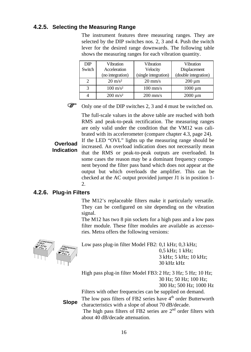#### **4.2.5. Selecting the Measuring Range**

The instrument features three measuring ranges. They are selected by the DIP switches nos. 2, 3 and 4. Push the switch lever for the desired range downwards. The following table shows the measuring ranges for each vibration quantity.

| <b>DIP</b> | Vibration           | Vibration            | Vibration            |  |
|------------|---------------------|----------------------|----------------------|--|
| Switch     | Acceleration        | Velocity             | Displacement         |  |
|            | (no integration)    | (single integration) | (double integration) |  |
|            | $20 \text{ m/s}^2$  | $20 \text{ mm/s}$    | $200 \mu m$          |  |
| っ          | $100 \text{ m/s}^2$ | $100$ mm/s           | $1000 \mu m$         |  |
|            | $200 \text{ m/s}^2$ | $200$ mm/s           | $2000 \mu m$         |  |



) Only one of the DIP switches 2, 3 and 4 must be switched on.

The full-scale values in the above table are reached with both RMS and peak-to-peak rectification. The measuring ranges are only valid under the condition that the VM12 was calibrated with its accelerometer (compare chapter 4.3, page 24).

**Overload Indication**

If the LED "OVL" lights up the measuring range should be increased. An overload indication does not necessarily mean that the RMS or peak-to-peak outputs are overloaded. In some cases the reason may be a dominant frequency component beyond the filter pass band which does not appear at the output but which overloads the amplifier. This can be checked at the AC output provided jumper J1 is in position 1- 2.

#### **4.2.6. Plug-in Filters**

The M12's replaceable filters make it particularly versatile. They can be configured on site depending on the vibration signal.

The M12 has two 8 pin sockets for a high pass and a low pass filter module. These filter modules are available as accessories. Metra offers the following versions:



Low pass plug-in filter Model FB2: 0,1 kHz; 0,3 kHz; 0,5 kHz; 1 kHz; 3 kHz; 5 kHz; 10 kHz; 30 kHz kHz

High pass plug-in filter Model FB3: 2 Hz; 3 Hz; 5 Hz; 10 Hz; 30 Hz; 50 Hz; 100 Hz; 300 Hz; 500 Hz; 1000 Hz

Filters with other frequencies can be supplied on demand.

**Slope** The low pass filters of FB2 series have  $4^{\text{th}}$  order Butterworth characteristics with a slope of about 70 dB/decade.

The high pass filters of FB2 series are  $2<sup>nd</sup>$  order filters with about 40 dB/decade attenuation.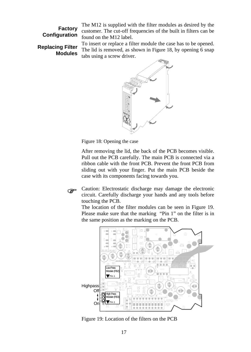**Factory Configuration**

The M12 is supplied with the filter modules as desired by the customer. The cut-off frequencies of the built in filters can be found on the M12 label.

#### **Replacing Filter Modules**

To insert or replace a filter module the case has to be opened. The lid is removed, as shown in Figure 18, by opening 6 snap tabs using a screw driver.



Figure 18: Opening the case

After removing the lid, the back of the PCB becomes visible. Pull out the PCB carefully. The main PCB is connected via a ribbon cable with the front PCB. Prevent the front PCB from sliding out with your finger. Put the main PCB beside the case with its components facing towards you.

) Caution: Electrostatic discharge may damage the electronic circuit. Carefully discharge your hands and any tools before touching the PCB.

The location of the filter modules can be seen in Figure 19. Please make sure that the marking "Pin 1" on the filter is in the same position as the marking on the PCB.



Figure 19: Location of the filters on the PCB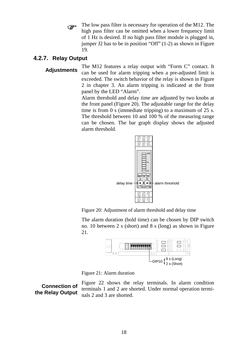The low pass filter is necessary for operation of the M12. The high pass filter can be omitted when a lower frequency limit of 1 Hz is desired. If no high pass filter module is plugged in, jumper J2 has to be in position "Off" (1-2) as shown in Figure 19.

#### **4.2.7. Relay Output**

**Adjustments** The M12 features a relay output with "Form C" contact. It can be used for alarm tripping when a pre-adjusted limit is exceeded. The switch behavior of the relay is shown in Figure 2 in chapter 3. An alarm tripping is indicated at the front panel by the LED "Alarm".

> Alarm threshold and delay time are adjusted by two knobs at the front panel (Figure 20). The adjustable range for the delay time is from 0 s (immediate tripping) to a maximum of 25 s. The threshold between 10 and 100 % of the measuring range can be chosen. The bar graph display shows the adjusted alarm threshold.

![](_page_20_Figure_4.jpeg)

Figure 20: Adjustment of alarm threshold and delay time

The alarm duration (hold time) can be chosen by DIP switch no. 10 between 2 s (short) and 8 s (long) as shown in Figure 21.

![](_page_20_Figure_7.jpeg)

![](_page_20_Figure_8.jpeg)

#### **Connection of the Relay Output**

Figure 22 shows the relay terminals. In alarm condition terminals 1 and 2 are shorted. Under normal operation terminals 2 and 3 are shorted.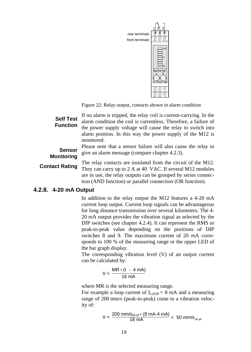![](_page_21_Picture_0.jpeg)

Figure 22: Relay output, contacts shown in alarm condition

**Self Test Function** If no alarm is tripped, the relay coil is current-carrying. In the alarm condition the coil is currentless. Therefore, a failure of the power supply voltage will cause the relay to switch into alarm position. In this way the power supply of the M12 is monitored. **Sensor Monitoring** Please note that a sensor failure will also cause the relay to give an alarm message (compare chapter 4.2.3). **Contact Rating** The relay contacts are insulated from the circuit of the M12. They can carry up to 2 A at 40 VAC. If several M12 modules are in use, the relay outputs can be grouped by series connection (AND function) or parallel connection (OR function).

#### **4.2.8. 4-20 mA Output**

In addition to the relay output the M12 features a 4-20 mA current loop output. Current loop signals can be advantageous for long distance transmission over several kilometers. The 4- 20 mA output provides the vibration signal as selected by the DIP switches (see chapter 4.2.4). It can represent the RMS or peak-to-peak value depending on the positions of DIP switches 8 and 9. The maximum current of 20 mA corresponds to 100 % of the measuring range or the upper LED of the bar graph display.

The corresponding vibration level (V) of an output current can be calculated by:

$$
V = \frac{MR \cdot (I - 4 mA)}{16 mA}
$$

where MR is the selected measuring range.

For example a loop current of  $I_{\text{LOOP}} = 8 \text{ mA}$  and a measuring range of 200 mm/s (peak-to-peak) come to a vibration velocity of:

$$
V = \frac{200 \text{ mm/s}_{p\text{k-pk}} \cdot (8 \text{ mA} \cdot 4 \text{ mA})}{16 \text{ mA}} = 50 \text{ mm/s}_{p\text{k-pk}}
$$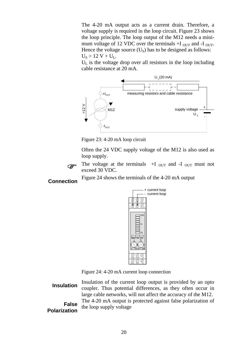The 4-20 mA output acts as a current drain. Therefore, a voltage supply is required in the loop circuit. Figure 23 shows the loop principle. The loop output of the M12 needs a minimum voltage of 12 VDC over the terminals  $+I_{\text{OUT}}$  and  $-I_{\text{OUT}}$ . Hence the voltage source  $(U_s)$  has to be designed as follows:  $U_s > 12 V + U_L$ .

 $U<sub>L</sub>$  is the voltage drop over all resistors in the loop including cable resistance at 20 mA.

![](_page_22_Figure_2.jpeg)

Figure 23: 4-20 mA loop circuit

Often the 24 VDC supply voltage of the M12 is also used as loop supply.

![](_page_22_Picture_5.jpeg)

The voltage at the terminals  $+I_{OUT}$  and  $-I_{OUT}$  must not exceed 30 VDC.

**Connection** Figure 24 shows the terminals of the 4-20 mA output

![](_page_22_Figure_8.jpeg)

![](_page_22_Figure_9.jpeg)

Figure 24: 4-20 mA current loop connection

**Insulation** Insulation of the current loop output is provided by an opto coupler. Thus potential differences, as they often occur in large cable networks, will not affect the accuracy of the M12. **False Polarization** The 4-20 mA output is protected against false polarization of the loop supply voltage

20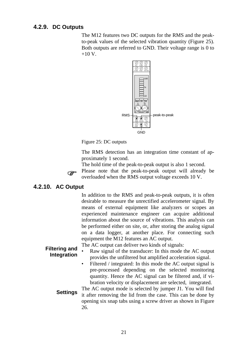#### **4.2.9. DC Outputs**

The M12 features two DC outputs for the RMS and the peakto-peak values of the selected vibration quantity (Figure 25). Both outputs are referred to GND. Their voltage range is 0 to  $+10 V$ .

![](_page_23_Figure_2.jpeg)

Figure 25: DC outputs

The RMS detection has an integration time constant of approximately 1 second.

The hold time of the peak-to-peak output is also 1 second. ) Please note that the peak-to-peak output will already be overloaded when the RMS output voltage exceeds 10 V.

#### **4.2.10. AC Output**

In addition to the RMS and peak-to-peak outputs, it is often desirable to measure the unrectified accelerometer signal. By means of external equipment like analyzers or scopes an experienced maintenance engineer can acquire additional information about the source of vibrations. This analysis can be performed either on site, or, after storing the analog signal on a data logger, at another place. For connecting such equipment the M12 features an AC output.

The AC output can deliver two kinds of signals:

- **Filtering and Integration** • Raw signal of the transducer: In this mode the AC output provides the unfiltered but amplified acceleration signal.
	- Filtered / integrated: In this mode the AC output signal is pre-processed depending on the selected monitoring quantity. Hence the AC signal can be filtered and, if vibration velocity or displacement are selected, integrated.
	- **Settings** The AC output mode is selected by jumper J1. You will find it after removing the lid from the case. This can be done by opening six snap tabs using a screw driver as shown in Figure 26.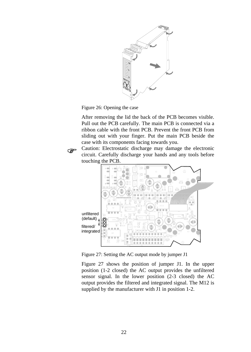![](_page_24_Figure_0.jpeg)

Figure 26: Opening the case

After removing the lid the back of the PCB becomes visible. Pull out the PCB carefully. The main PCB is connected via a ribbon cable with the front PCB. Prevent the front PCB from sliding out with your finger. Put the main PCB beside the case with its components facing towards you.

) Caution: Electrostatic discharge may damage the electronic circuit. Carefully discharge your hands and any tools before touching the PCB.

![](_page_24_Figure_4.jpeg)

Figure 27: Setting the AC output mode by jumper J1

Figure 27 shows the position of jumper J1. In the upper position (1-2 closed) the AC output provides the unfiltered sensor signal. In the lower position (2-3 closed) the AC output provides the filtered and integrated signal. The M12 is supplied by the manufacturer with J1 in position 1-2.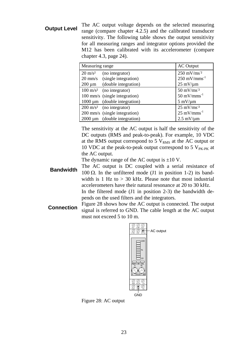**Output Level** The AC output voltage depends on the selected measuring range (compare chapter 4.2.5) and the calibrated transducer sensitivity. The following table shows the output sensitivity for all measuring ranges and integrator options provided the M12 has been calibrated with its accelerometer (compare chapter 4.3, page 24).

| Measuring range    | <b>AC</b> Output                    |                                    |
|--------------------|-------------------------------------|------------------------------------|
| $20 \text{ m/s}^2$ | (no integrator)                     | $250 \text{ mV}$ /ms <sup>-2</sup> |
| $20 \text{ mm/s}$  | (single integration)                | $250 \text{ mV/nms}^{-1}$          |
| $200 \mu m$        | (double integration)                | $25 \text{ mV}$ /um                |
|                    | $100 \text{ m/s}^2$ (no integrator) | $50 \text{ mV}$ /ms <sup>-2</sup>  |
|                    | 100 mm/s (single integration)       | $50 \text{ mV/mm}^{-1}$            |
|                    | $1000 \mu m$ (double integration)   | $5 \text{ mV}/\text{µm}$           |
|                    | $200 \text{ m/s}^2$ (no integrator) | $25 \text{ mV}$ /ms <sup>-2</sup>  |
|                    | 200 mm/s (single integration)       | $25 \text{ mV/mm}^{-1}$            |
|                    | $2000 \mu m$ (double integration)   | $2.5$ mV/ $\mu$ m                  |

The sensitivity at the AC output is half the sensitivity of the DC outputs (RMS and peak-to-peak). For example, 10 VDC at the RMS output correspond to 5  $V<sub>RMS</sub>$  at the AC output or 10 VDC at the peak-to-peak output correspond to 5  $V_{PK-PK}$  at the AC output.

The dynamic range of the AC output is  $\pm 10$  V.

- **Bandwidth** The AC output is DC coupled with a serial resistance of 100 Ω. In the unfiltered mode (J1 in position 1-2) its bandwidth is 1 Hz to  $> 30$  kHz. Please note that most industrial accelerometers have their natural resonance at 20 to 30 kHz. In the filtered mode (J1 in position 2-3) the bandwidth depends on the used filters and the integrators.
- **Connection** Figure 28 shows how the AC output is connected. The output signal is referred to GND. The cable length at the AC output must not exceed 5 to 10 m.

![](_page_25_Figure_6.jpeg)

Figure 28: AC output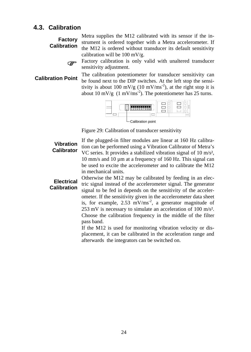#### **4.3. Calibration**

**Factory Calibration** Metra supplies the M12 calibrated with its sensor if the instrument is ordered together with a Metra accelerometer. If the M12 is ordered without transducer its default sensitivity calibration will be 100 mV/g.

![](_page_26_Picture_2.jpeg)

) Factory calibration is only valid with unaltered transducer sensitivity adjustment.

**Calibration Point** The calibration potentiometer for transducer sensitivity can be found next to the DIP switches. At the left stop the sensitivity is about 100 mV/g (10 mV/ms<sup>-2</sup>), at the right stop it is about 10 mV/g  $(1 \text{ mV/ms}^2)$ . The potentiometer has 25 turns.

![](_page_26_Figure_6.jpeg)

Figure 29: Calibration of transducer sensitivity

#### **Vibration Calibrator**

If the plugged-in filter modules are linear at 160 Hz calibration can be performed using a Vibration Calibrator of Metra's VC series. It provides a stabilized vibration signal of 10 m/s², 10 mm/s and 10 µm at a frequency of 160 Hz. This signal can be used to excite the accelerometer and to calibrate the M12 in mechanical units.

**Electrical Calibration**  Otherwise the M12 may be calibrated by feeding in an electric signal instead of the accelerometer signal. The generator signal to be fed in depends on the sensitivity of the accelerometer. If the sensitivity given in the accelerometer data sheet is, for example,  $2.53 \text{ mV/ms}^2$ , a generator magnitude of 253 mV is necessary to simulate an acceleration of 100 m/s². Choose the calibration frequency in the middle of the filter pass band.

> If the M12 is used for monitoring vibration velocity or displacement, it can be calibrated in the acceleration range and afterwards the integrators can be switched on.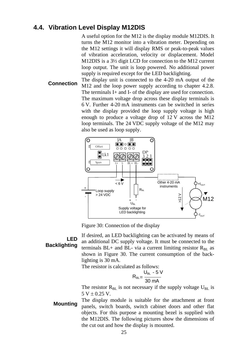#### **4.4. Vibration Level Display M12DIS**

A useful option for the M12 is the display module M12DIS. It turns the M12 monitor into a vibration meter. Depending on the M12 settings it will display RMS or peak-to-peak values of vibration acceleration, velocity or displacement. Model M12DIS is a 3½ digit LCD for connection to the M12 current loop output. The unit is loop powered. No additional power supply is required except for the LED backlighting.

**Connection** The display unit is connected to the 4-20 mA output of the M12 and the loop power supply according to chapter 4.2.8. The terminals I+ and I- of the display are used for connection. The maximum voltage drop across these display terminals is 6 V. Further 4-20 mA instruments can be switched in series with the display provided the loop supply voltage is high enough to produce a voltage drop of 12 V across the M12 loop terminals. The 24 VDC supply voltage of the M12 may also be used as loop supply.

![](_page_27_Figure_3.jpeg)

Figure 30: Connection of the display

#### **LED Backlighting**

If desired, an LED backlighting can be activated by means of an additional DC supply voltage. It must be connected to the terminals  $BL+$  and  $BL-$  via a current limiting resistor  $R<sub>BL</sub>$  as shown in Figure 30. The current consumption of the backlighting is 30 mA.

The resistor is calculated as follows:

$$
R_{BL} = \frac{U_{BL} - 5 \text{ V}}{30 \text{ mA}}
$$

The resistor  $R_{BL}$  is not necessary if the supply voltage  $U_{BL}$  is  $5 V \pm 0.25 V$ .

**Mounting** The display module is suitable for the attachment at front panels, switch boards, switch cabinet doors and other flat objects. For this purpose a mounting bezel is supplied with the M12DIS. The following pictures show the dimensions of the cut out and how the display is mounted.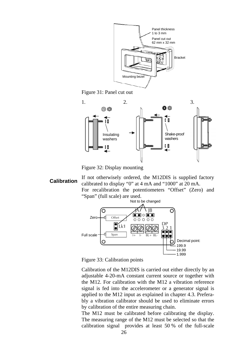![](_page_28_Figure_0.jpeg)

Figure 31: Panel cut out

![](_page_28_Figure_2.jpeg)

Figure 32: Display mounting

**Calibration** If not otherwisely ordered, the M12DIS is supplied factory calibrated to display "0" at 4 mA and "1000" at 20 mA. For recalibration the potentiometers "Offset" (Zero) and "Span" (full scale) are used.

![](_page_28_Figure_5.jpeg)

Figure 33: Calibration points

Calibration of the M12DIS is carried out either directly by an adjustable 4-20-mA constant current source or together with the M12. For calibration with the M12 a vibration reference signal is fed into the accelerometer or a generator signal is applied to the M12 input as explained in chapter 4.3. Preferably a vibration calibrator should be used to eliminate errors by calibration of the entire measuring chain.

The M12 must be calibrated before calibrating the display. The measuring range of the M12 must be selected so that the calibration signal provides at least 50 % of the full-scale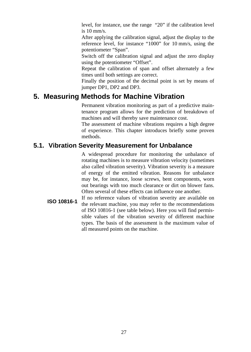level, for instance, use the range "20" if the calibration level is 10 mm/s.

After applying the calibration signal, adjust the display to the reference level, for instance "1000" for 10 mm/s, using the potentiometer "Span".

Switch off the calibration signal and adjust the zero display using the potentiometer "Offset".

Repeat the calibration of span and offset alternately a few times until both settings are correct.

Finally the position of the decimal point is set by means of jumper DP1, DP2 and DP3.

## **5. Measuring Methods for Machine Vibration**

Permanent vibration monitoring as part of a predictive maintenance program allows for the prediction of breakdown of machines and will thereby save maintenance cost.

The assessment of machine vibrations requires a high degree of experience. This chapter introduces briefly some proven methods.

## **5.1. Vibration Severity Measurement for Unbalance**

A widespread procedure for monitoring the unbalance of rotating machines is to measure vibration velocity (sometimes also called vibration severity). Vibration severity is a measure of energy of the emitted vibration. Reasons for unbalance may be, for instance, loose screws, bent components, worn out bearings with too much clearance or dirt on blower fans. Often several of these effects can influence one another.

**ISO 10816-1** If no reference values of vibration severity are available on the relevant machine, you may refer to the recommendations of ISO 10816-1 (see table below). Here you will find permissible values of the vibration severity of different machine types. The basis of the assessment is the maximum value of all measured points on the machine.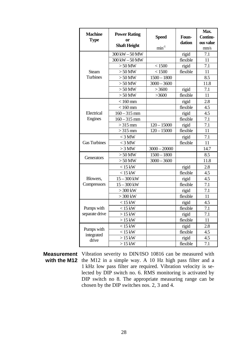| <b>Machine</b><br><b>Type</b> | <b>Power Rating</b><br>0r<br><b>Shaft Height</b> | <b>Speed</b><br>$min-1$ | Foun-<br>dation | Max.<br>Continu-<br>ous value<br>mm/s |
|-------------------------------|--------------------------------------------------|-------------------------|-----------------|---------------------------------------|
|                               | $300\,\mathrm{kW}$ – $50\,\mathrm{MW}$           |                         | rigid           | 7.1                                   |
|                               | 300 kW - 50 MW                                   |                         | flexible        | 11                                    |
|                               | $>50$ MW                                         | < 1500                  | rigid           | 7.1                                   |
| <b>Steam</b>                  | $>50$ MW                                         | < 1500                  | flexible        | 11                                    |
| <b>Turbines</b>               | $>50$ MW                                         | $1500 - 1800$           |                 | 8.5                                   |
|                               | $>50$ MW                                         | $3000 - 3600$           |                 | 11.8                                  |
|                               | $>50$ MW                                         | >3600                   | rigid           | 7.1                                   |
|                               | $>50$ MW                                         | >3600                   | flexible        | 11                                    |
|                               | $< 160$ mm                                       |                         | rigid           | 2.8                                   |
|                               | $< 160$ mm                                       |                         | flexible        | 4.5                                   |
| Electrical                    | $160 - 315$ mm                                   |                         | rigid           | 4.5                                   |
| Engines                       | $160 - 315$ mm                                   |                         | flexible        | 7.1                                   |
|                               | $>315$ mm                                        | $120 - 15000$           | rigid           | 7.1                                   |
|                               | $>315$ mm                                        | $120 - 15000$           | flexible        | 11                                    |
|                               | $<$ 3 MW                                         |                         | rigid           | 7.1                                   |
| <b>Gas Turbines</b>           | $<$ 3 MW                                         |                         | flexible        | 11                                    |
|                               | $>3$ MW                                          | $3000 - 20000$          |                 | 14.7                                  |
| Generators                    | $>50$ MW                                         | $1500 - 1800$           |                 | 8.5                                   |
|                               | $> 50$ MW                                        | $3000 - 3600$           |                 | 11.8                                  |
|                               | $<$ 15 kW                                        |                         | rigid           | 2.8                                   |
|                               | $< 15$ kW                                        |                         | flexible        | 4.5                                   |
| Blowers.                      | $15 - 300$ kW                                    |                         | rigid           | 4.5                                   |
| Compressors                   | $15 - 300$ kW                                    |                         | flexible        | 7.1                                   |
|                               | $>300$ kW                                        |                         | rigid           | 7.1                                   |
|                               | $>300$ kW                                        |                         | flexible        | 11                                    |
|                               | $< 15$ kW                                        |                         | rigid           | 4.5                                   |
| Pumps with                    | $<$ 15 kW                                        |                         | flexible        | 7.1                                   |
| separate drive                | $>15$ kW                                         |                         | rigid           | 7.1                                   |
|                               | $>15$ kW                                         |                         | flexible        | 11                                    |
| Pumps with                    | $< 15$ kW                                        |                         | rigid           | 2.8                                   |
| integrated                    | $< 15$ kW                                        |                         | flexible        | 4.5                                   |
| drive                         | $>15$ kW                                         |                         | rigid           | 4.5                                   |
|                               | $>15$ kW                                         |                         | flexible        | 7.1                                   |

**Measurement**  Vibration severity to DIN/ISO 10816 can be measured with with the M12 the M12 in a simple way. A 10 Hz high pass filter and a 1 kHz low pass filter are required. Vibration velocity is selected by DIP switch no. 6. RMS monitoring is activated by DIP switch no 8. The appropriate measuring range can be chosen by the DIP switches nos. 2, 3 and 4.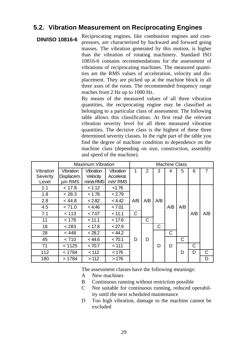## **5.2. Vibration Measurement on Reciprocating Engines**

**DIN/ISO 10816-6** Reciprocating engines, like combustion engines and compressors, are characterized by backward and forward going masses. The vibration generated by this motion, is higher than the vibration of rotating machinery. Standard ISO 10816-6 contains recommendations for the assessment of vibrations of reciprocating machines. The measured quantities are the RMS values of acceleration, velocity and displacement. They are picked up at the machine block in all three axes of the room. The recommended frequency range reaches from 2 Hz up to 1000 Hz.

> By means of the measured values of all three vibration quantities, the reciprocating engine may be classified as belonging to a particular class of assessment. The following table allows this classification. At first read the relevant vibration severity level for all three measured vibration quantities. The decisive class is the highest of these three determined severity classes. In the right part of the table you find the degree of machine condition in dependence on the machine class (depending on size, construction, assembly and speed of the machine).

|           | <b>Maximum Vibration</b> |           |                      |     |     |     | <b>Machine Class</b> |     |     |     |
|-----------|--------------------------|-----------|----------------------|-----|-----|-----|----------------------|-----|-----|-----|
| Vibration | Vibration                | Vibration | Vibration            | 1   | 2   | 3   | 4                    | 5   | 6   | 7   |
| Severity  | Displacem.               | Velocity  | Accelerat.           |     |     |     |                      |     |     |     |
| Level     | um RMS                   | mm/s RMS  | m/s <sup>2</sup> RMS |     |     |     |                      |     |     |     |
| 1.1       | < 17.8                   | < 1.12    | < 1.76               |     |     |     |                      |     |     |     |
| 1.8       | < 28.3                   | < 1.78    | < 2.79               |     |     |     |                      |     |     |     |
| 2.8       | < 44.8                   | < 2.82    | < 4.42               | A/B | A/B | A/B |                      |     |     |     |
| 4.5       | < 71.0                   | < 4.46    | < 7.01               |     |     |     | A/B                  | A/B |     |     |
| 7.1       | < 113                    | < 7.07    | < 11.1               | C   |     |     |                      |     | A/B | A/B |
| 11        | < 178                    | < 11.1    | < 17.6               |     | C   |     |                      |     |     |     |
| 18        | < 283                    | < 17.8    | < 27.9               |     |     | C   |                      |     |     |     |
| 28        | < 448                    | < 28.2    | < 44.2               |     |     |     | C                    |     |     |     |
| 45        | < 710                    | < 44.6    | < 70.1               | D   | D   |     |                      | С   |     |     |
| 71        | < 1125                   | < 70.7    | < 111                |     |     | D   | D                    |     | С   |     |
| 112       | < 1784                   | < 112     | < 176                |     |     |     |                      | D   | D   | C   |
| 180       | >1784                    | >112      | >176                 |     |     |     |                      |     |     | D   |

The assessment classes have the following meanings:

- A New machines
- B Continuous running without restriction possible
- C Not suitable for continuous running, reduced operability until the next scheduled maintenance
- D Too high vibration, damage to the machine cannot be excluded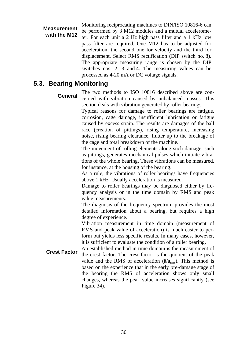**Measurement with the M12** Monitoring reciprocating machines to DIN/ISO 10816-6 can be performed by 3 M12 modules and a mutual accelerometer. For each unit a 2 Hz high pass filter and a 1 kHz low pass filter are required. One M12 has to be adjusted for acceleration, the second one for velocity and the third for displacement. Select RMS rectification (DIP switch no. 8). The appropriate measuring range is chosen by the DIP switches nos. 2, 3 and 4. The measuring values can be processed as 4-20 mA or DC voltage signals.

### **5.3. Bearing Monitoring**

General The two methods to ISO 10816 described above are concerned with vibration caused by unbalanced masses. This section deals with vibration generated by roller bearings.

> Typical reasons for damage to roller bearings are fatigue, corrosion, cage damage, insufficient lubrication or fatigue caused by excess strain. The results are damages of the ball race (creation of pittings), rising temperature, increasing noise, rising bearing clearance, flutter up to the breakage of the cage and total breakdown of the machine.

> The movement of rolling elements along such damage, such as pittings, generates mechanical pulses which initiate vibrations of the whole bearing. These vibrations can be measured, for instance, at the housing of the bearing.

> As a rule, the vibrations of roller bearings have frequencies above 1 kHz. Usually acceleration is measured.

> Damage to roller bearings may be diagnosed either by frequency analysis or in the time domain by RMS and peak value measurements.

> The diagnosis of the frequency spectrum provides the most detailed information about a bearing, but requires a high degree of experience.

> Vibration measurement in time domain (measurement of RMS and peak value of acceleration) is much easier to perform but yields less specific results. In many cases, however, it is sufficient to evaluate the condition of a roller bearing.

**Crest Factor** An established method in time domain is the measurement of the crest factor. The crest factor is the quotient of the peak value and the RMS of acceleration ( $\hat{a}/a_{\rm rms}$ ). This method is based on the experience that in the early pre-damage stage of the bearing the RMS of acceleration shows only small changes, whereas the peak value increases significantly (see Figure 34).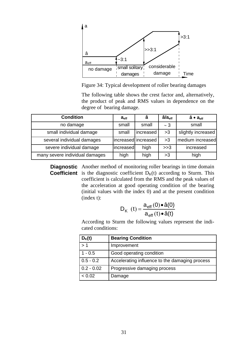![](_page_33_Figure_0.jpeg)

Figure 34: Typical development of roller bearing damages

The following table shows the crest factor and, alternatively, the product of peak and RMS values in dependence on the degree of bearing damage.

| <b>Condition</b>               | a <sub>eff</sub> | â                   | â/a <sub>eff</sub> | â ● a <sub>eff</sub> |
|--------------------------------|------------------|---------------------|--------------------|----------------------|
| no damage                      | small            | small               | $\sim$ 3           | small                |
| small individual damage        | small            | increased           | >3                 | slightly increased   |
| several individual damages     |                  | increased increased | >3                 | medium increased     |
| severe individual damage       | increased        | high                | >>3                | increased            |
| many severe individual damages | high             | high                | >3                 | high                 |

**Diagnostic** Another method of monitoring roller bearings in time domain **Coefficient** is the diagnostic coefficient  $D_K(t)$  according to Sturm. This coefficient is calculated from the RMS and the peak values of the acceleration at good operating condition of the bearing (initial values with the index 0) and at the present condition (index t):

$$
D_{K}(t) = \frac{a_{\text{eff}}(0) \cdot \hat{a}(0)}{a_{\text{eff}}(t) \cdot \hat{a}(t)}
$$

According to Sturm the following values represent the indicated conditions:

| $D_{K}(t)$   | <b>Bearing Condition</b>                       |
|--------------|------------------------------------------------|
| >1           | Improvement                                    |
| $1 - 0.5$    | Good operating condition                       |
| $0.5 - 0.2$  | Accelerating influence to the damaging process |
| $0.2 - 0.02$ | Progressive damaging process                   |
| < 0.02       | Damage                                         |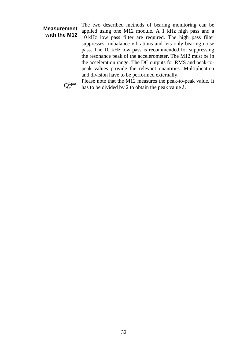#### **Measurement with the M12**

The two described methods of bearing monitoring can be applied using one M12 module. A 1 kHz high pass and a 10 kHz low pass filter are required. The high pass filter suppresses unbalance vibrations and lets only bearing noise pass. The 10 kHz low pass is recommended for suppressing the resonance peak of the accelerometer. The M12 must be in the acceleration range. The DC outputs for RMS and peak-topeak values provide the relevant quantities. Multiplication and division have to be performed externally.

![](_page_34_Picture_2.jpeg)

Please note that the M12 measures the peak-to-peak value. It<br>has to be divided by 2 to obtain the peak value. has to be divided by 2 to obtain the peak value â.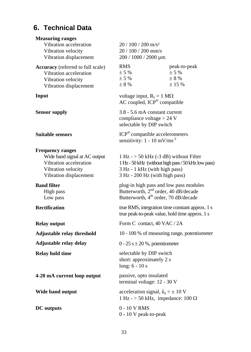## **6. Technical Data**

| <b>Measuring ranges</b>           |                                                                                          |                                                                                                   |  |  |  |
|-----------------------------------|------------------------------------------------------------------------------------------|---------------------------------------------------------------------------------------------------|--|--|--|
| Vibration acceleration            | $20/100/200$ m/s <sup>2</sup>                                                            |                                                                                                   |  |  |  |
| Vibration velocity                | 20 / 100 / 200 mm/s                                                                      |                                                                                                   |  |  |  |
| Vibration displacement            | 200 / 1000 / 2000 µm                                                                     |                                                                                                   |  |  |  |
| Accuracy (referred to full scale) | <b>RMS</b>                                                                               | peak-to-peak                                                                                      |  |  |  |
| Vibration acceleration            | ± 5%                                                                                     | ± 5%                                                                                              |  |  |  |
| Vibration velocity                | ± 5%                                                                                     | ± 8%                                                                                              |  |  |  |
| Vibration displacement            | $\pm$ 8 %                                                                                | ± 15%                                                                                             |  |  |  |
| Input                             | voltage input, $R_I = 1 M\Omega$<br>AC coupled, ICP® compatible                          |                                                                                                   |  |  |  |
| <b>Sensor supply</b>              | 3.8 - 5.6 mA constant current<br>compliance voltage $> 24$ V<br>selectable by DIP switch |                                                                                                   |  |  |  |
| <b>Suitable sensors</b>           |                                                                                          | ICP <sup>®</sup> compatible accelerometers<br>sensitivity: $1 - 10$ mV/ms <sup>-2</sup>           |  |  |  |
| <b>Frequency ranges</b>           |                                                                                          |                                                                                                   |  |  |  |
| Wide band signal at AC output     |                                                                                          | $1 Hz$ - $> 50 kHz$ (-3 dB) without Filter                                                        |  |  |  |
| Vibration acceleration            |                                                                                          | 1 Hz - 50 kHz (without high pass / 50 kHz low pass)                                               |  |  |  |
| Vibration velocity                | 3 Hz - 1 kHz (with high pass)                                                            |                                                                                                   |  |  |  |
| Vibration displacement            | 3 Hz - 200 Hz (with high pass)                                                           |                                                                                                   |  |  |  |
| <b>Band filter</b>                |                                                                                          | plug-in high pass and low pass modules                                                            |  |  |  |
| High pass                         | Butterworth, 2 <sup>nd</sup> order, 40 dB/decade                                         |                                                                                                   |  |  |  |
| Low pass                          | Butterworth, 4 <sup>th</sup> order, 70 dB/decade                                         |                                                                                                   |  |  |  |
| <b>Rectification</b>              |                                                                                          | true RMS, integration time constant approx. 1 s<br>true peak-to-peak value, hold time approx. 1 s |  |  |  |
| <b>Relay output</b>               | Form C contact, 40 VAC / 2A                                                              |                                                                                                   |  |  |  |
| Adjustable relay threshold        |                                                                                          | 10 - 100 % of measuring range, potentiometer                                                      |  |  |  |
| Adjustable relay delay            | $0 - 25 s \pm 20 \%$ , potentiometer                                                     |                                                                                                   |  |  |  |
| Relay hold time                   | selectable by DIP switch                                                                 |                                                                                                   |  |  |  |
|                                   | short: approximately 2 s                                                                 |                                                                                                   |  |  |  |
|                                   | long: $6 - 10s$                                                                          |                                                                                                   |  |  |  |
| 4-20 mA current loop output       | passive, opto insulated<br>terminal voltage: 12 - 30 V                                   |                                                                                                   |  |  |  |
| Wide band output                  | acceleration signal, $\hat{u}_a = \pm 10$ V                                              |                                                                                                   |  |  |  |
|                                   | 1 Hz - > 50 kHz, impedance: 100 $\Omega$                                                 |                                                                                                   |  |  |  |
| <b>DC</b> outputs                 | 0 - 10 V RMS                                                                             |                                                                                                   |  |  |  |
|                                   | 0 - 10 V peak-to-peak                                                                    |                                                                                                   |  |  |  |
|                                   |                                                                                          |                                                                                                   |  |  |  |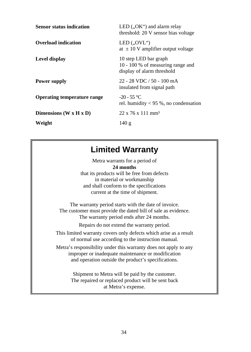| <b>Sensor status indication</b>    | LED $(0.0K^{\prime\prime})$ and alarm relay<br>threshold: 20 V sensor bias voltage       |
|------------------------------------|------------------------------------------------------------------------------------------|
| Overload indication                | LED $(0.0VL^4)$<br>at $\pm$ 10 V amplifier output voltage                                |
| Level display                      | 10 step LED bar graph<br>10 - 100 % of measuring range and<br>display of alarm threshold |
| <b>Power supply</b>                | $22 - 28$ VDC $/50 - 100$ mA<br>insulated from signal path                               |
| <b>Operating temperature range</b> | $-20 - 55$ °C<br>rel. humidity $< 95$ %, no condensation                                 |
| Dimensions $(W \times H \times D)$ | $22 \times 76 \times 111 \text{ mm}^3$                                                   |
| Weight                             | 140g                                                                                     |

## **Limited Warranty**

Metra warrants for a period of **24 months** that its products will be free from defects in material or workmanship and shall conform to the specifications current at the time of shipment.

The warranty period starts with the date of invoice. The customer must provide the dated bill of sale as evidence. The warranty period ends after 24 months.

Repairs do not extend the warranty period.

This limited warranty covers only defects which arise as a result of normal use according to the instruction manual.

Metra's responsibility under this warranty does not apply to any improper or inadequate maintenance or modification and operation outside the product's specifications.

> Shipment to Metra will be paid by the customer. The repaired or replaced product will be sent back at Metra's expense.